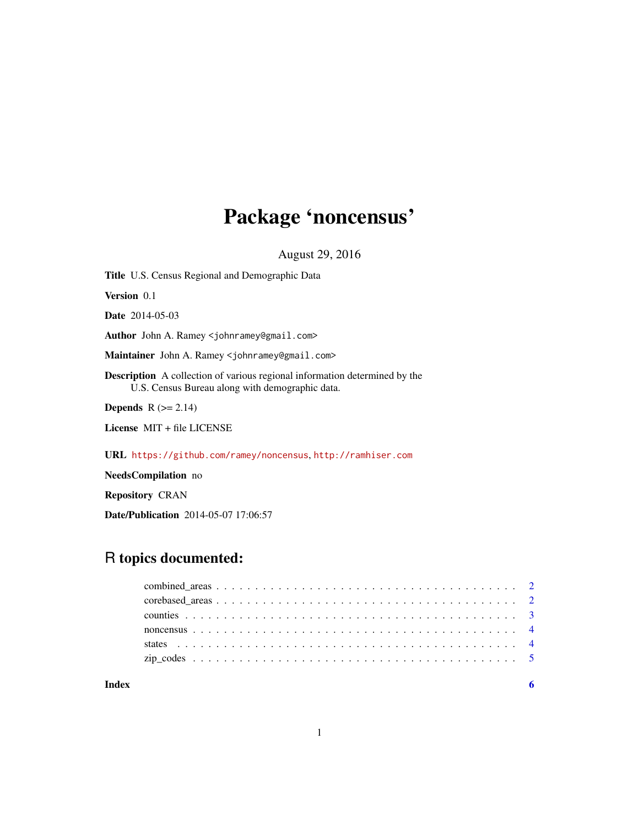## Package 'noncensus'

August 29, 2016

<span id="page-0-0"></span>Title U.S. Census Regional and Demographic Data Version 0.1 Date 2014-05-03 Author John A. Ramey <johnramey@gmail.com> Maintainer John A. Ramey <johnramey@gmail.com> Description A collection of various regional information determined by the U.S. Census Bureau along with demographic data. Depends  $R$  ( $>= 2.14$ ) License MIT + file LICENSE

URL <https://github.com/ramey/noncensus>, <http://ramhiser.com>

NeedsCompilation no

Repository CRAN

Date/Publication 2014-05-07 17:06:57

### R topics documented:

| Index |  |
|-------|--|
|       |  |
|       |  |
|       |  |
|       |  |
|       |  |
|       |  |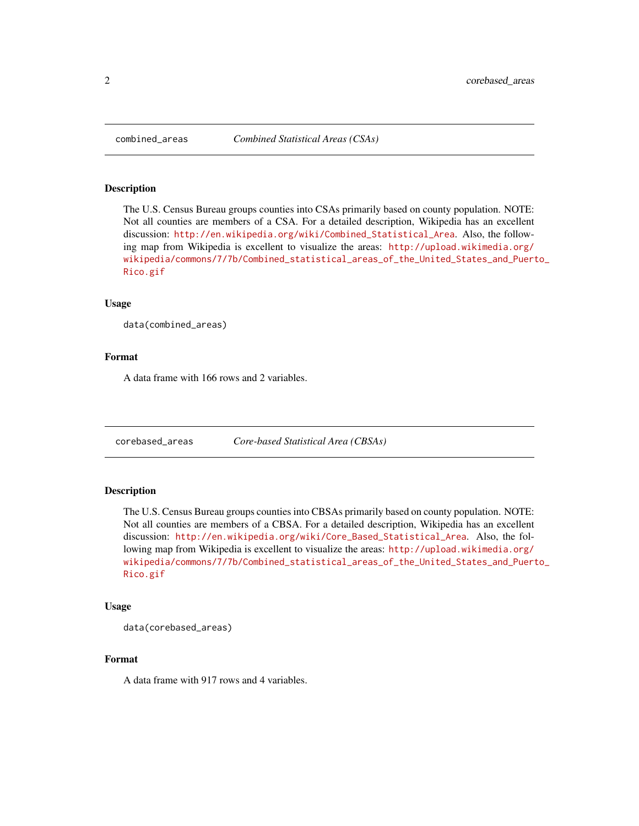<span id="page-1-1"></span><span id="page-1-0"></span>

#### Description

The U.S. Census Bureau groups counties into CSAs primarily based on county population. NOTE: Not all counties are members of a CSA. For a detailed description, Wikipedia has an excellent discussion: [http://en.wikipedia.org/wiki/Combined\\_Statistical\\_Area](http://en.wikipedia.org/wiki/Combined_Statistical_Area). Also, the following map from Wikipedia is excellent to visualize the areas: [http://upload.wikimedia.org/](http://upload.wikimedia.org/wikipedia/commons/7/7b/Combined_statistical_areas_of_the_United_States_and_Puerto_Rico.gif) [wikipedia/commons/7/7b/Combined\\_statistical\\_areas\\_of\\_the\\_United\\_States\\_and\\_Puert](http://upload.wikimedia.org/wikipedia/commons/7/7b/Combined_statistical_areas_of_the_United_States_and_Puerto_Rico.gif)o\_ [Rico.gif](http://upload.wikimedia.org/wikipedia/commons/7/7b/Combined_statistical_areas_of_the_United_States_and_Puerto_Rico.gif)

#### Usage

data(combined\_areas)

#### Format

A data frame with 166 rows and 2 variables.

<span id="page-1-2"></span>corebased\_areas *Core-based Statistical Area (CBSAs)*

#### Description

The U.S. Census Bureau groups counties into CBSAs primarily based on county population. NOTE: Not all counties are members of a CBSA. For a detailed description, Wikipedia has an excellent discussion: [http://en.wikipedia.org/wiki/Core\\_Based\\_Statistical\\_Area](http://en.wikipedia.org/wiki/Core_Based_Statistical_Area). Also, the following map from Wikipedia is excellent to visualize the areas: [http://upload.wikimedia.org/](http://upload.wikimedia.org/wikipedia/commons/7/7b/Combined_statistical_areas_of_the_United_States_and_Puerto_Rico.gif) [wikipedia/commons/7/7b/Combined\\_statistical\\_areas\\_of\\_the\\_United\\_States\\_and\\_Puert](http://upload.wikimedia.org/wikipedia/commons/7/7b/Combined_statistical_areas_of_the_United_States_and_Puerto_Rico.gif)o\_ [Rico.gif](http://upload.wikimedia.org/wikipedia/commons/7/7b/Combined_statistical_areas_of_the_United_States_and_Puerto_Rico.gif)

#### Usage

data(corebased\_areas)

#### Format

A data frame with 917 rows and 4 variables.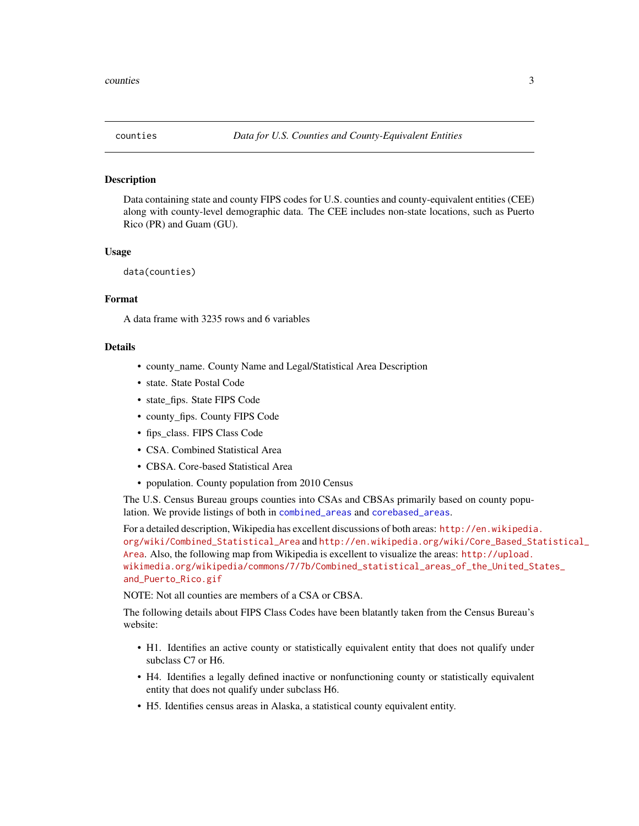<span id="page-2-1"></span><span id="page-2-0"></span>

#### Description

Data containing state and county FIPS codes for U.S. counties and county-equivalent entities (CEE) along with county-level demographic data. The CEE includes non-state locations, such as Puerto Rico (PR) and Guam (GU).

#### Usage

```
data(counties)
```
#### Format

A data frame with 3235 rows and 6 variables

#### Details

- county\_name. County Name and Legal/Statistical Area Description
- state. State Postal Code
- state\_fips. State FIPS Code
- county\_fips. County FIPS Code
- fips\_class. FIPS Class Code
- CSA. Combined Statistical Area
- CBSA. Core-based Statistical Area
- population. County population from 2010 Census

The U.S. Census Bureau groups counties into CSAs and CBSAs primarily based on county population. We provide listings of both in [combined\\_areas](#page-1-1) and [corebased\\_areas](#page-1-2).

For a detailed description, Wikipedia has excellent discussions of both areas: [http://en.wikipedia](http://en.wikipedia.org/wiki/Combined_Statistical_Area). [org/wiki/Combined\\_Statistical\\_Area](http://en.wikipedia.org/wiki/Combined_Statistical_Area) and [http://en.wikipedia.org/wiki/Core\\_Based\\_St](http://en.wikipedia.org/wiki/Core_Based_Statistical_Area)atistical\_ [Area](http://en.wikipedia.org/wiki/Core_Based_Statistical_Area). Also, the following map from Wikipedia is excellent to visualize the areas: [http://upload.](http://upload.wikimedia.org/wikipedia/commons/7/7b/Combined_statistical_areas_of_the_United_States_and_Puerto_Rico.gif) [wikimedia.org/wikipedia/commons/7/7b/Combined\\_statistical\\_areas\\_of\\_the\\_United\\_St](http://upload.wikimedia.org/wikipedia/commons/7/7b/Combined_statistical_areas_of_the_United_States_and_Puerto_Rico.gif)ates\_ [and\\_Puerto\\_Rico.gif](http://upload.wikimedia.org/wikipedia/commons/7/7b/Combined_statistical_areas_of_the_United_States_and_Puerto_Rico.gif)

NOTE: Not all counties are members of a CSA or CBSA.

The following details about FIPS Class Codes have been blatantly taken from the Census Bureau's website:

- H1. Identifies an active county or statistically equivalent entity that does not qualify under subclass C7 or H6.
- H4. Identifies a legally defined inactive or nonfunctioning county or statistically equivalent entity that does not qualify under subclass H6.
- H5. Identifies census areas in Alaska, a statistical county equivalent entity.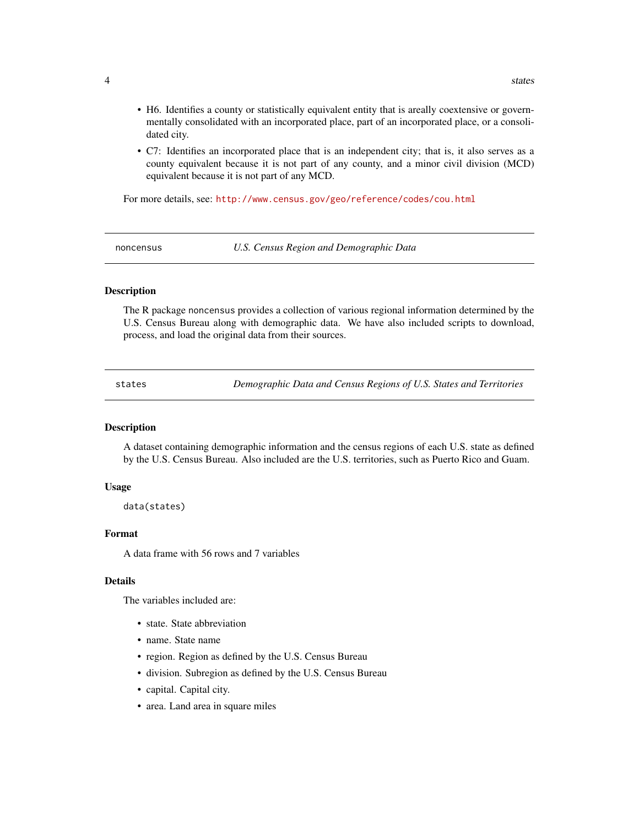- <span id="page-3-0"></span>• H6. Identifies a county or statistically equivalent entity that is areally coextensive or governmentally consolidated with an incorporated place, part of an incorporated place, or a consolidated city.
- C7: Identifies an incorporated place that is an independent city; that is, it also serves as a county equivalent because it is not part of any county, and a minor civil division (MCD) equivalent because it is not part of any MCD.

For more details, see: <http://www.census.gov/geo/reference/codes/cou.html>

noncensus *U.S. Census Region and Demographic Data*

#### **Description**

The R package noncensus provides a collection of various regional information determined by the U.S. Census Bureau along with demographic data. We have also included scripts to download, process, and load the original data from their sources.

states *Demographic Data and Census Regions of U.S. States and Territories*

#### Description

A dataset containing demographic information and the census regions of each U.S. state as defined by the U.S. Census Bureau. Also included are the U.S. territories, such as Puerto Rico and Guam.

#### Usage

data(states)

#### Format

A data frame with 56 rows and 7 variables

#### Details

The variables included are:

- state. State abbreviation
- name. State name
- region. Region as defined by the U.S. Census Bureau
- division. Subregion as defined by the U.S. Census Bureau
- capital. Capital city.
- area. Land area in square miles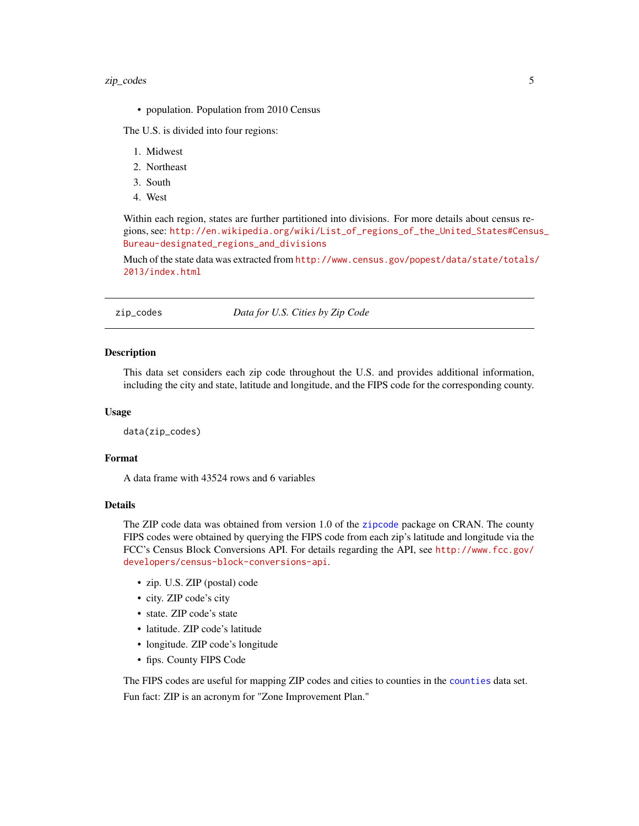#### <span id="page-4-0"></span>zip\_codes 5

• population. Population from 2010 Census

The U.S. is divided into four regions:

- 1. Midwest
- 2. Northeast
- 3. South
- 4. West

Within each region, states are further partitioned into divisions. For more details about census regions, see: [http://en.wikipedia.org/wiki/List\\_of\\_regions\\_of\\_the\\_United\\_States#Censu](http://en.wikipedia.org/wiki/List_of_regions_of_the_United_States#Census_Bureau-designated_regions_and_divisions)s\_ [Bureau-designated\\_regions\\_and\\_divisions](http://en.wikipedia.org/wiki/List_of_regions_of_the_United_States#Census_Bureau-designated_regions_and_divisions)

Much of the state data was extracted from [http://www.census.gov/popest/data/state/totals/](http://www.census.gov/popest/data/state/totals/2013/index.html) [2013/index.html](http://www.census.gov/popest/data/state/totals/2013/index.html)

zip\_codes *Data for U.S. Cities by Zip Code*

#### Description

This data set considers each zip code throughout the U.S. and provides additional information, including the city and state, latitude and longitude, and the FIPS code for the corresponding county.

#### Usage

data(zip\_codes)

#### Format

A data frame with 43524 rows and 6 variables

#### Details

The ZIP code data was obtained from version 1.0 of the [zipcode](#page-0-0) package on CRAN. The county FIPS codes were obtained by querying the FIPS code from each zip's latitude and longitude via the FCC's Census Block Conversions API. For details regarding the API, see [http://www.fcc.gov/](http://www.fcc.gov/developers/census-block-conversions-api) [developers/census-block-conversions-api](http://www.fcc.gov/developers/census-block-conversions-api).

- zip. U.S. ZIP (postal) code
- city. ZIP code's city
- state. ZIP code's state
- latitude. ZIP code's latitude
- longitude. ZIP code's longitude
- fips. County FIPS Code

The FIPS codes are useful for mapping ZIP codes and cities to counties in the [counties](#page-2-1) data set. Fun fact: ZIP is an acronym for "Zone Improvement Plan."